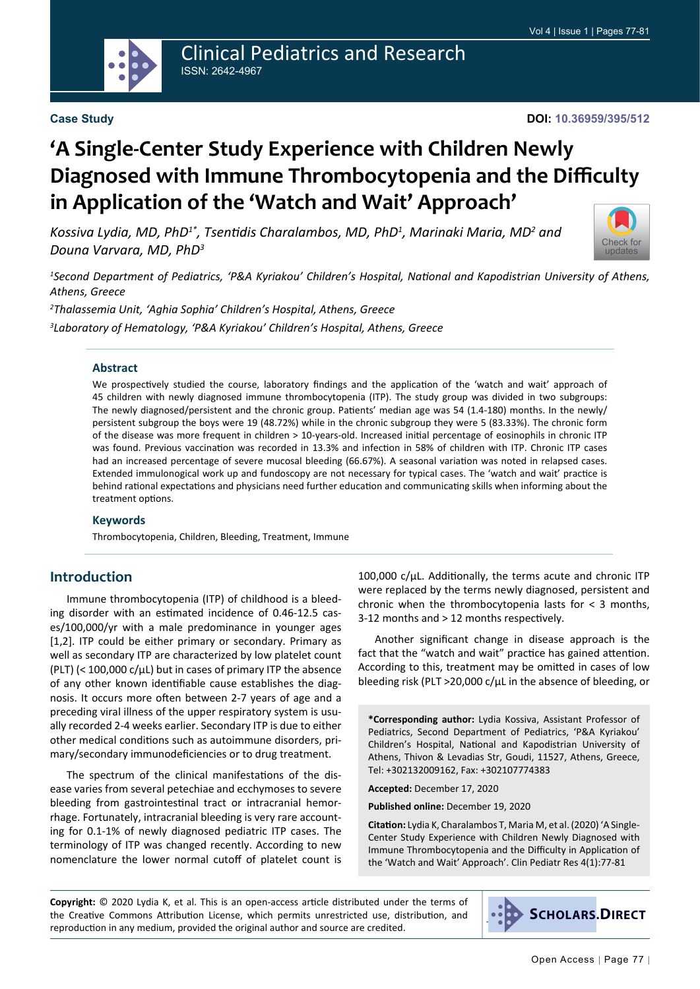

### Clinical Pediatrics and Research ISSN: 2642-4967

#### **Case Study**

# **'A Single-Center Study Experience with Children Newly Diagnosed with Immune Thrombocytopenia and the Difficulty in Application of the 'Watch and Wait' Approach'**

*Kossiva Lydia, MD, PhD1\*, Tsentidis Charalambos, MD, PhD<sup>1</sup> , Marinaki Maria, MD<sup>2</sup> and Douna Varvara, MD, PhD<sup>3</sup>*



*1 Second Department of Pediatrics, 'P&A Kyriakou' Children's Hospital, National and Kapodistrian University of Athens, Athens, Greece*

*2 Thalassemia Unit, 'Aghia Sophia' Children's Hospital, Athens, Greece*

*3 Laboratory of Hematology, 'P&A Kyriakou' Children's Hospital, Athens, Greece*

#### **Abstract**

We prospectively studied the course, laboratory findings and the application of the 'watch and wait' approach of 45 children with newly diagnosed immune thrombocytopenia (ITP). The study group was divided in two subgroups: The newly diagnosed/persistent and the chronic group. Patients' median age was 54 (1.4-180) months. In the newly/ persistent subgroup the boys were 19 (48.72%) while in the chronic subgroup they were 5 (83.33%). The chronic form of the disease was more frequent in children > 10-years-old. Increased initial percentage of eosinophils in chronic ITP was found. Previous vaccination was recorded in 13.3% and infection in 58% of children with ITP. Chronic ITP cases had an increased percentage of severe mucosal bleeding (66.67%). A seasonal variation was noted in relapsed cases. Extended immulonogical work up and fundoscopy are not necessary for typical cases. The 'watch and wait' practice is behind rational expectations and physicians need further education and communicating skills when informing about the treatment options.

#### **Keywords**

Thrombocytopenia, Children, Bleeding, Treatment, Immune

#### **Introduction**

Immune thrombocytopenia (ITP) of childhood is a bleeding disorder with an estimated incidence of 0.46-12.5 cases/100,000/yr with a male predominance in younger ages [1,2]. ITP could be either primary or secondary. Primary as well as secondary ITP are characterized by low platelet count (PLT) ( $<$  100,000 c/ $\mu$ L) but in cases of primary ITP the absence of any other known identifiable cause establishes the diagnosis. It occurs more often between 2-7 years of age and a preceding viral illness of the upper respiratory system is usually recorded 2-4 weeks earlier. Secondary ITP is due to either other medical conditions such as autoimmune disorders, primary/secondary immunodeficiencies or to drug treatment.

The spectrum of the clinical manifestations of the disease varies from several petechiae and ecchymoses to severe bleeding from gastrointestinal tract or intracranial hemorrhage. Fortunately, intracranial bleeding is very rare accounting for 0.1-1% of newly diagnosed pediatric ITP cases. The terminology of ITP was changed recently. According to new nomenclature the lower normal cutoff of platelet count is

100,000 c/μL. Additionally, the terms acute and chronic ITP were replaced by the terms newly diagnosed, persistent and chronic when the thrombocytopenia lasts for  $\lt$  3 months, 3-12 months and > 12 months respectively.

Another significant change in disease approach is the fact that the "watch and wait" practice has gained attention. According to this, treatment may be omitted in cases of low bleeding risk (PLT >20,000 c/μL in the absence of bleeding, or

**\*Corresponding author:** Lydia Kossiva, Assistant Professor of Pediatrics, Second Department of Pediatrics, 'P&A Kyriakou' Children's Hospital, National and Kapodistrian University of Athens, Thivon & Levadias Str, Goudi, 11527, Athens, Greece, Tel: +302132009162, Fax: +302107774383

**Accepted:** December 17, 2020

**Published online:** December 19, 2020

**Citation:** Lydia K, Charalambos T, Maria M, et al. (2020) 'A Single-Center Study Experience with Children Newly Diagnosed with Immune Thrombocytopenia and the Difficulty in Application of the 'Watch and Wait' Approach'. Clin Pediatr Res 4(1):77-81

**Copyright:** © 2020 Lydia K, et al. This is an open-access article distributed under the terms of the Creative Commons Attribution License, which permits unrestricted use, distribution, and reproduction in any medium, provided the original author and source are credited.

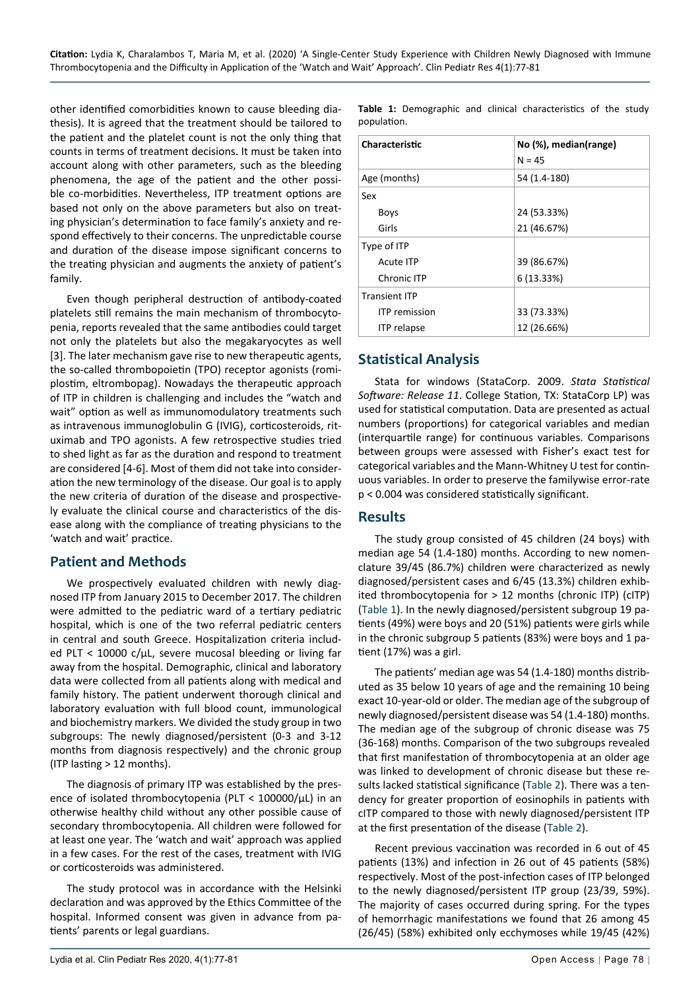other identified comorbidities known to cause bleeding diathesis). It is agreed that the treatment should be tailored to the patient and the platelet count is not the only thing that counts in terms of treatment decisions. It must be taken into account along with other parameters, such as the bleeding phenomena, the age of the patient and the other possible co-morbidities. Nevertheless, ITP treatment options are based not only on the above parameters but also on treating physician's determination to face family's anxiety and respond effectively to their concerns. The unpredictable course and duration of the disease impose significant concerns to the treating physician and augments the anxiety of patient's family.

Even though peripheral destruction of antibody-coated platelets still remains the main mechanism of thrombocytopenia, reports revealed that the same antibodies could target not only the platelets but also the megakaryocytes as well [3]. The later mechanism gave rise to new therapeutic agents, the so-called thrombopoietin (TPO) receptor agonists (romiplostim, eltrombopag). Nowadays the therapeutic approach of ITP in children is challenging and includes the "watch and wait" option as well as immunomodulatory treatments such as intravenous immunoglobulin G (IVIG), corticosteroids, rituximab and TPO agonists. A few retrospective studies tried to shed light as far as the duration and respond to treatment are considered [4-6]. Most of them did not take into consideration the new terminology of the disease. Our goal is to apply the new criteria of duration of the disease and prospectively evaluate the clinical course and characteristics of the disease along with the compliance of treating physicians to the 'watch and wait' practice.

#### **Patient and Methods**

We prospectively evaluated children with newly diagnosed ITP from January 2015 to December 2017. The children were admitted to the pediatric ward of a tertiary pediatric hospital, which is one of the two referral pediatric centers in central and south Greece. Hospitalization criteria included PLT < 10000 c/μL, severe mucosal bleeding or living far away from the hospital. Demographic, clinical and laboratory data were collected from all patients along with medical and family history. The patient underwent thorough clinical and laboratory evaluation with full blood count, immunological and biochemistry markers. We divided the study group in two subgroups: The newly diagnosed/persistent (0-3 and 3-12 months from diagnosis respectively) and the chronic group (ITP lasting > 12 months).

The diagnosis of primary ITP was established by the presence of isolated thrombocytopenia (PLT < 100000/μL) in an otherwise healthy child without any other possible cause of secondary thrombocytopenia. All children were followed for at least one year. The 'watch and wait' approach was applied in a few cases. For the rest of the cases, treatment with IVIG or corticosteroids was administered.

The study protocol was in accordance with the Helsinki declaration and was approved by the Ethics Committee of the hospital. Informed consent was given in advance from patients' parents or legal guardians.

<span id="page-1-0"></span>**Table 1:** Demographic and clinical characteristics of the study population.

| Characteristic       | No (%), median(range)<br>$N = 45$ |  |
|----------------------|-----------------------------------|--|
| Age (months)         | 54 (1.4-180)                      |  |
| Sex                  |                                   |  |
| <b>Boys</b>          | 24 (53.33%)                       |  |
| Girls                | 21 (46.67%)                       |  |
| Type of ITP          |                                   |  |
| Acute ITP            | 39 (86.67%)                       |  |
| Chronic ITP          | 6(13.33%)                         |  |
| <b>Transient ITP</b> |                                   |  |
| <b>ITP</b> remission | 33 (73.33%)                       |  |
| <b>ITP</b> relapse   | 12 (26.66%)                       |  |

# **Statistical Analysis**

Stata for windows (StataCorp. 2009. *Stata Statistical Software: Release 11*. College Station, TX: StataCorp LP) was used for statistical computation. Data are presented as actual numbers (proportions) for categorical variables and median (interquartile range) for continuous variables. Comparisons between groups were assessed with Fisher's exact test for categorical variables and the Mann-Whitney U test for continuous variables. In order to preserve the familywise error-rate p < 0.004 was considered statistically significant.

#### **Results**

The study group consisted of 45 children (24 boys) with median age 54 (1.4-180) months. According to new nomenclature 39/45 (86.7%) children were characterized as newly diagnosed/persistent cases and 6/45 (13.3%) children exhibited thrombocytopenia for > 12 months (chronic ITP) (cITP) ([Table 1](#page-1-0)). In the newly diagnosed/persistent subgroup 19 patients (49%) were boys and 20 (51%) patients were girls while in the chronic subgroup 5 patients (83%) were boys and 1 patient (17%) was a girl.

The patients' median age was 54 (1.4-180) months distributed as 35 below 10 years of age and the remaining 10 being exact 10-year-old or older. The median age of the subgroup of newly diagnosed/persistent disease was 54 (1.4-180) months. The median age of the subgroup of chronic disease was 75 (36-168) months. Comparison of the two subgroups revealed that first manifestation of thrombocytopenia at an older age was linked to development of chronic disease but these results lacked statistical significance [\(Table 2](#page-2-0)). There was a tendency for greater proportion of eosinophils in patients with cITP compared to those with newly diagnosed/persistent ITP at the first presentation of the disease [\(Table 2\)](#page-2-0).

Recent previous vaccination was recorded in 6 out of 45 patients (13%) and infection in 26 out of 45 patients (58%) respectively. Most of the post-infection cases of ITP belonged to the newly diagnosed/persistent ITP group (23/39, 59%). The majority of cases occurred during spring. For the types of hemorrhagic manifestations we found that 26 among 45 (26/45) (58%) exhibited only ecchymoses while 19/45 (42%)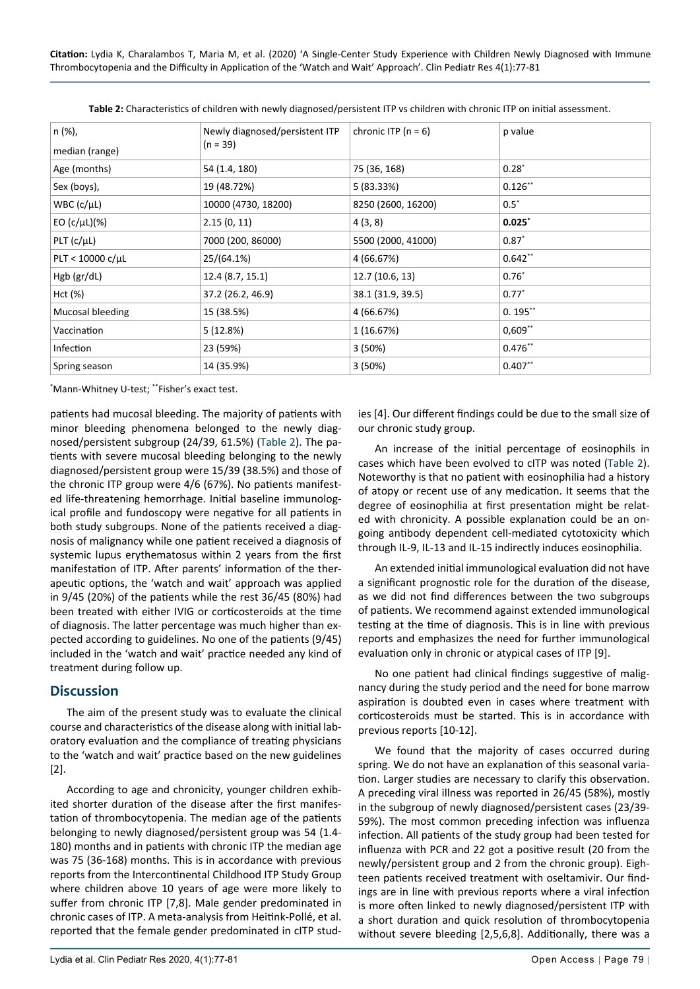**Citation:** Lydia K, Charalambos T, Maria M, et al. (2020) 'A Single-Center Study Experience with Children Newly Diagnosed with Immune Thrombocytopenia and the Difficulty in Application of the 'Watch and Wait' Approach'. Clin Pediatr Res 4(1):77-81

| n (%),<br>median (range) | Newly diagnosed/persistent ITP<br>$(n = 39)$ | chronic ITP ( $n = 6$ ) | p value    |
|--------------------------|----------------------------------------------|-------------------------|------------|
| Age (months)             | 54 (1.4, 180)                                | 75 (36, 168)            | $0.28^*$   |
| Sex (boys),              | 19 (48.72%)                                  | 5 (83.33%)              | $0.126**$  |
| $WBC$ ( $c/µL$ )         | 10000 (4730, 18200)                          | 8250 (2600, 16200)      | $0.5^*$    |
| EO (c/ $\mu$ L)(%)       | 2.15(0, 11)                                  | 4(3,8)                  | $0.025^*$  |
| PLT (c/µL)               | 7000 (200, 86000)                            | 5500 (2000, 41000)      | $0.87^{*}$ |
| $PLT < 10000 c/ \mu L$   | 25/(64.1%)                                   | 4 (66.67%)              | $0.642**$  |
| Hgb (gr/dL)              | 12.4 (8.7, 15.1)                             | 12.7 (10.6, 13)         | $0.76*$    |
| Hct (%)                  | 37.2 (26.2, 46.9)                            | 38.1 (31.9, 39.5)       | $0.77^*$   |
| Mucosal bleeding         | 15 (38.5%)                                   | 4 (66.67%)              | $0.195**$  |
| Vaccination              | 5(12.8%)                                     | 1 (16.67%)              | $0,609**$  |
| Infection                | 23 (59%)                                     | 3(50%)                  | $0.476**$  |
| Spring season            | 14 (35.9%)                                   | 3(50%)                  | $0.407**$  |

<span id="page-2-0"></span>**Table 2:** Characteristics of children with newly diagnosed/persistent ITP vs children with chronic ITP on initial assessment.

\* Mann-Whitney U-test; \*\*Fisher's exact test.

patients had mucosal bleeding. The majority of patients with minor bleeding phenomena belonged to the newly diagnosed/persistent subgroup (24/39, 61.5%) ([Table 2](#page-2-0)). The patients with severe mucosal bleeding belonging to the newly diagnosed/persistent group were 15/39 (38.5%) and those of the chronic ITP group were 4/6 (67%). No patients manifested life-threatening hemorrhage. Initial baseline immunological profile and fundoscopy were negative for all patients in both study subgroups. None of the patients received a diagnosis of malignancy while one patient received a diagnosis of systemic lupus erythematosus within 2 years from the first manifestation of ITP. After parents' information of the therapeutic options, the 'watch and wait' approach was applied in 9/45 (20%) of the patients while the rest 36/45 (80%) had been treated with either IVIG or corticosteroids at the time of diagnosis. The latter percentage was much higher than expected according to guidelines. No one of the patients (9/45) included in the 'watch and wait' practice needed any kind of treatment during follow up.

#### **Discussion**

The aim of the present study was to evaluate the clinical course and characteristics of the disease along with initial laboratory evaluation and the compliance of treating physicians to the 'watch and wait' practice based on the new guidelines [2].

According to age and chronicity, younger children exhibited shorter duration of the disease after the first manifestation of thrombocytopenia. The median age of the patients belonging to newly diagnosed/persistent group was 54 (1.4- 180) months and in patients with chronic ITP the median age was 75 (36-168) months. This is in accordance with previous reports from the Intercontinental Childhood ITP Study Group where children above 10 years of age were more likely to suffer from chronic ITP [7,8]. Male gender predominated in chronic cases of ITP. A meta-analysis from Heitink-Pollé, et al. reported that the female gender predominated in cITP stud-

ies [4]. Our different findings could be due to the small size of our chronic study group.

An increase of the initial percentage of eosinophils in cases which have been evolved to cITP was noted [\(Table 2](#page-2-0)). Noteworthy is that no patient with eosinophilia had a history of atopy or recent use of any medication. It seems that the degree of eosinophilia at first presentation might be related with chronicity. A possible explanation could be an ongoing antibody dependent cell-mediated cytotoxicity which through IL-9, IL-13 and IL-15 indirectly induces eosinophilia.

An extended initial immunological evaluation did not have a significant prognostic role for the duration of the disease, as we did not find differences between the two subgroups of patients. We recommend against extended immunological testing at the time of diagnosis. This is in line with previous reports and emphasizes the need for further immunological evaluation only in chronic or atypical cases of ITP [9].

No one patient had clinical findings suggestive of malignancy during the study period and the need for bone marrow aspiration is doubted even in cases where treatment with corticosteroids must be started. This is in accordance with previous reports [10-12].

We found that the majority of cases occurred during spring. We do not have an explanation of this seasonal variation. Larger studies are necessary to clarify this observation. A preceding viral illness was reported in 26/45 (58%), mostly in the subgroup of newly diagnosed/persistent cases (23/39- 59%). The most common preceding infection was influenza infection. All patients of the study group had been tested for influenza with PCR and 22 got a positive result (20 from the newly/persistent group and 2 from the chronic group). Eighteen patients received treatment with oseltamivir. Our findings are in line with previous reports where a viral infection is more often linked to newly diagnosed/persistent ITP with a short duration and quick resolution of thrombocytopenia without severe bleeding [2,5,6,8]. Additionally, there was a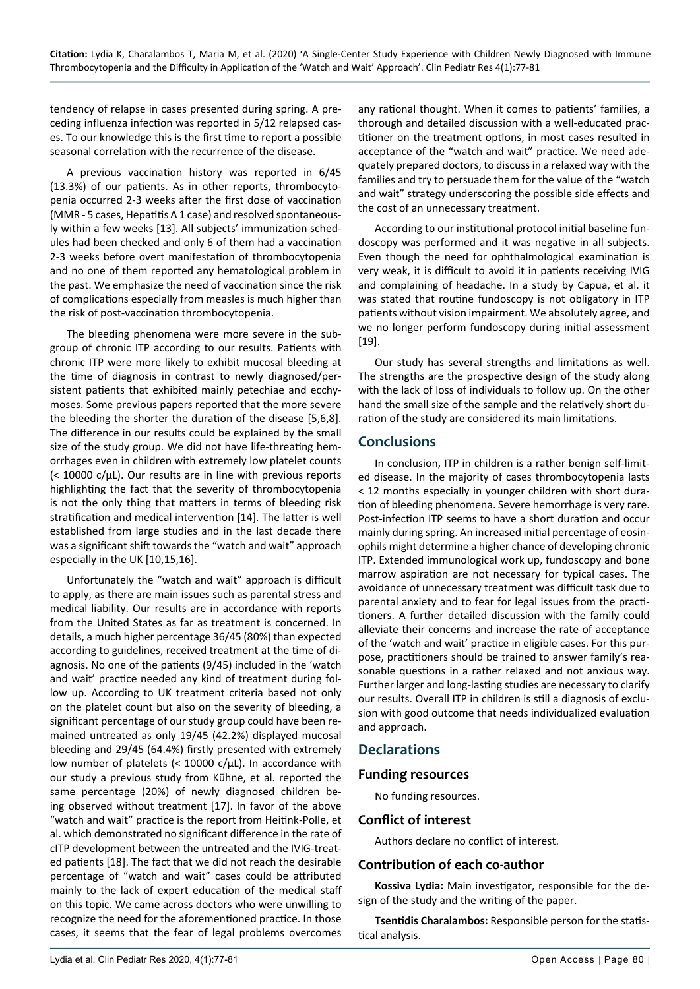tendency of relapse in cases presented during spring. A preceding influenza infection was reported in 5/12 relapsed cases. To our knowledge this is the first time to report a possible seasonal correlation with the recurrence of the disease.

A previous vaccination history was reported in 6/45 (13.3%) of our patients. As in other reports, thrombocytopenia occurred 2-3 weeks after the first dose of vaccination (MMR - 5 cases, Hepatitis A 1 case) and resolved spontaneously within a few weeks [13]. All subjects' immunization schedules had been checked and only 6 of them had a vaccination 2-3 weeks before overt manifestation of thrombocytopenia and no one of them reported any hematological problem in the past. We emphasize the need of vaccination since the risk of complications especially from measles is much higher than the risk of post-vaccination thrombocytopenia.

The bleeding phenomena were more severe in the subgroup of chronic ITP according to our results. Patients with chronic ITP were more likely to exhibit mucosal bleeding at the time of diagnosis in contrast to newly diagnosed/persistent patients that exhibited mainly petechiae and ecchymoses. Some previous papers reported that the more severe the bleeding the shorter the duration of the disease [5,6,8]. The difference in our results could be explained by the small size of the study group. We did not have life-threating hemorrhages even in children with extremely low platelet counts (< 10000 c/μL). Our results are in line with previous reports highlighting the fact that the severity of thrombocytopenia is not the only thing that matters in terms of bleeding risk stratification and medical intervention [14]. The latter is well established from large studies and in the last decade there was a significant shift towards the "watch and wait" approach especially in the UK [10,15,16].

Unfortunately the "watch and wait" approach is difficult to apply, as there are main issues such as parental stress and medical liability. Our results are in accordance with reports from the United States as far as treatment is concerned. In details, a much higher percentage 36/45 (80%) than expected according to guidelines, received treatment at the time of diagnosis. No one of the patients (9/45) included in the 'watch and wait' practice needed any kind of treatment during follow up. According to UK treatment criteria based not only on the platelet count but also on the severity of bleeding, a significant percentage of our study group could have been remained untreated as only 19/45 (42.2%) displayed mucosal bleeding and 29/45 (64.4%) firstly presented with extremely low number of platelets (< 10000 c/μL). In accordance with our study a previous study from Kühne, et al. reported the same percentage (20%) of newly diagnosed children being observed without treatment [17]. In favor of the above "watch and wait" practice is the report from Heitink-Polle, et al. which demonstrated no significant difference in the rate of cITP development between the untreated and the IVIG-treated patients [18]. The fact that we did not reach the desirable percentage of "watch and wait" cases could be attributed mainly to the lack of expert education of the medical staff on this topic. We came across doctors who were unwilling to recognize the need for the aforementioned practice. In those cases, it seems that the fear of legal problems overcomes

any rational thought. When it comes to patients' families, a thorough and detailed discussion with a well-educated practitioner on the treatment options, in most cases resulted in acceptance of the "watch and wait" practice. We need adequately prepared doctors, to discuss in a relaxed way with the families and try to persuade them for the value of the "watch and wait" strategy underscoring the possible side effects and the cost of an unnecessary treatment.

According to our institutional protocol initial baseline fundoscopy was performed and it was negative in all subjects. Even though the need for ophthalmological examination is very weak, it is difficult to avoid it in patients receiving IVIG and complaining of headache. In a study by Capua, et al. it was stated that routine fundoscopy is not obligatory in ITP patients without vision impairment. We absolutely agree, and we no longer perform fundoscopy during initial assessment [19].

Our study has several strengths and limitations as well. The strengths are the prospective design of the study along with the lack of loss of individuals to follow up. On the other hand the small size of the sample and the relatively short duration of the study are considered its main limitations.

## **Conclusions**

In conclusion, ITP in children is a rather benign self-limited disease. In the majority of cases thrombocytopenia lasts < 12 months especially in younger children with short duration of bleeding phenomena. Severe hemorrhage is very rare. Post-infection ITP seems to have a short duration and occur mainly during spring. An increased initial percentage of eosinophils might determine a higher chance of developing chronic ITP. Extended immunological work up, fundoscopy and bone marrow aspiration are not necessary for typical cases. The avoidance of unnecessary treatment was difficult task due to parental anxiety and to fear for legal issues from the practitioners. A further detailed discussion with the family could alleviate their concerns and increase the rate of acceptance of the 'watch and wait' practice in eligible cases. For this purpose, practitioners should be trained to answer family's reasonable questions in a rather relaxed and not anxious way. Further larger and long-lasting studies are necessary to clarify our results. Overall ITP in children is still a diagnosis of exclusion with good outcome that needs individualized evaluation and approach.

### **Declarations**

#### **Funding resources**

No funding resources.

#### **Conflict of interest**

Authors declare no conflict of interest.

#### **Contribution of each co-author**

**Kossiva Lydia:** Main investigator, responsible for the design of the study and the writing of the paper.

**Tsentidis Charalambos:** Responsible person for the statistical analysis.